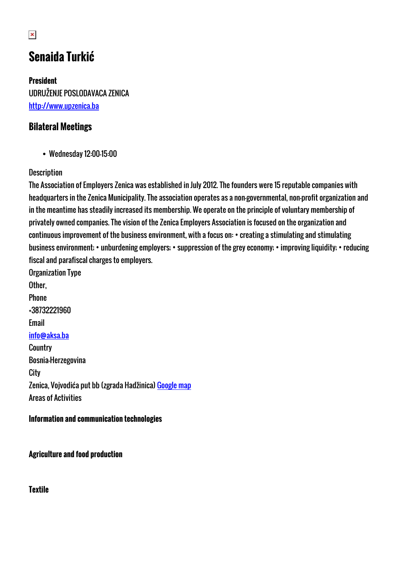# **Senaida Turkić**

**President** UDRUŽENJE POSLODAVACA ZENICA <http://www.upzenica.ba>

# **Bilateral Meetings**

Wednesday 12:00-15:00

#### **Description**

The Association of Employers Zenica was established in July 2012. The founders were 15 reputable companies with headquarters in the Zenica Municipality. The association operates as a non-governmental, non-profit organization and in the meantime has steadily increased its membership. We operate on the principle of voluntary membership of privately owned companies. The vision of the Zenica Employers Association is focused on the organization and continuous improvement of the business environment, with a focus on: • creating a stimulating and stimulating business environment; • unburdening employers; • suppression of the grey economy; • improving liquidity; • reducing fiscal and parafiscal charges to employers.

Organization Type Other, Phone +38732221960 Email [info@aksa.ba](mailto:info@aksa.ba) **Country** Bosnia-Herzegovina **City** Zenica, Vojvodića put bb (zgrada Hadžinica) [Google map](http://womenentrepreneurs3.talkb2b.net/home/map?city=Zenica&address=Vojvodića put bb (zgrada Hadžinica)) Areas of Activities

#### **Information and communication technologies**

**Agriculture and food production**

**Textile**

 $\pmb{\times}$